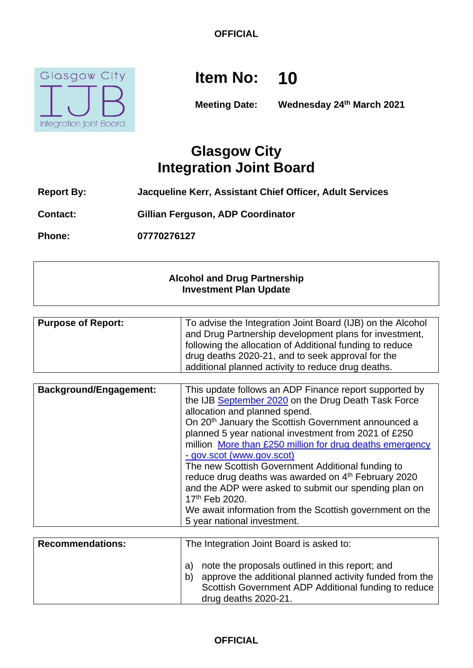

# **Item No: 10**

**Meeting Date: Wednesday 24th March 2021**

# **Glasgow City Integration Joint Board**

- **Report By: Jacqueline Kerr, Assistant Chief Officer, Adult Services**
- **Contact: Gillian Ferguson, ADP Coordinator**

**Phone: 07770276127**

#### **Alcohol and Drug Partnership Investment Plan Update**

| <b>Purpose of Report:</b> | To advise the Integration Joint Board (IJB) on the Alcohol<br>and Drug Partnership development plans for investment,<br>following the allocation of Additional funding to reduce |
|---------------------------|----------------------------------------------------------------------------------------------------------------------------------------------------------------------------------|
|                           | drug deaths 2020-21, and to seek approval for the                                                                                                                                |
|                           | additional planned activity to reduce drug deaths.                                                                                                                               |

| <b>Background/Engagement:</b> | This update follows an ADP Finance report supported by          |
|-------------------------------|-----------------------------------------------------------------|
|                               | the IJB September 2020 on the Drug Death Task Force             |
|                               |                                                                 |
|                               | allocation and planned spend.                                   |
|                               | On 20 <sup>th</sup> January the Scottish Government announced a |
|                               | planned 5 year national investment from 2021 of £250            |
|                               | million More than £250 million for drug deaths emergency        |
|                               | - gov.scot (www.gov.scot)                                       |
|                               | The new Scottish Government Additional funding to               |
|                               | reduce drug deaths was awarded on 4th February 2020             |
|                               | and the ADP were asked to submit our spending plan on           |
|                               | 17th Feb 2020.                                                  |
|                               | We await information from the Scottish government on the        |
|                               | 5 year national investment.                                     |

| <b>Recommendations:</b> | The Integration Joint Board is asked to:                                                                                                                                                               |
|-------------------------|--------------------------------------------------------------------------------------------------------------------------------------------------------------------------------------------------------|
|                         | note the proposals outlined in this report; and<br>a)<br>approve the additional planned activity funded from the<br>b)<br>Scottish Government ADP Additional funding to reduce<br>drug deaths 2020-21. |

## **OFFICIAL**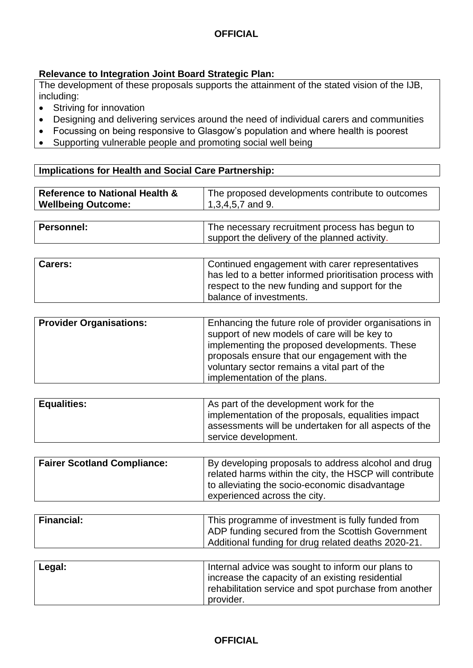#### **Relevance to Integration Joint Board Strategic Plan:**

The development of these proposals supports the attainment of the stated vision of the IJB, including:

- Striving for innovation
- Designing and delivering services around the need of individual carers and communities
- Focussing on being responsive to Glasgow's population and where health is poorest
- Supporting vulnerable people and promoting social well being

#### **Implications for Health and Social Care Partnership:**

| <b>Reference to National Health &amp;</b><br><b>Wellbeing Outcome:</b> | The proposed developments contribute to outcomes<br>$1,3,4,5,7$ and 9.                          |
|------------------------------------------------------------------------|-------------------------------------------------------------------------------------------------|
|                                                                        |                                                                                                 |
| Personnel:                                                             | The necessary recruitment process has begun to<br>support the delivery of the planned activity. |

| <b>Carers:</b> | Continued engagement with carer representatives                                                            |
|----------------|------------------------------------------------------------------------------------------------------------|
|                | has led to a better informed prioritisation process with<br>respect to the new funding and support for the |
|                | balance of investments.                                                                                    |

| <b>Provider Organisations:</b> | Enhancing the future role of provider organisations in<br>support of new models of care will be key to<br>implementing the proposed developments. These<br>proposals ensure that our engagement with the<br>voluntary sector remains a vital part of the<br>implementation of the plans. |
|--------------------------------|------------------------------------------------------------------------------------------------------------------------------------------------------------------------------------------------------------------------------------------------------------------------------------------|
|--------------------------------|------------------------------------------------------------------------------------------------------------------------------------------------------------------------------------------------------------------------------------------------------------------------------------------|

| <b>Equalities:</b> | As part of the development work for the<br>implementation of the proposals, equalities impact<br>assessments will be undertaken for all aspects of the<br>service development. |
|--------------------|--------------------------------------------------------------------------------------------------------------------------------------------------------------------------------|
|                    |                                                                                                                                                                                |

| <b>Fairer Scotland Compliance:</b> | By developing proposals to address alcohol and drug<br>related harms within the city, the HSCP will contribute<br>to alleviating the socio-economic disadvantage<br>experienced across the city. |
|------------------------------------|--------------------------------------------------------------------------------------------------------------------------------------------------------------------------------------------------|
|                                    |                                                                                                                                                                                                  |

| <b>Financial:</b> | This programme of investment is fully funded from<br>ADP funding secured from the Scottish Government<br>Additional funding for drug related deaths 2020-21. |
|-------------------|--------------------------------------------------------------------------------------------------------------------------------------------------------------|
|                   |                                                                                                                                                              |

| Legal: | Internal advice was sought to inform our plans to     |
|--------|-------------------------------------------------------|
|        | increase the capacity of an existing residential      |
|        | rehabilitation service and spot purchase from another |
|        | provider.                                             |

#### **OFFICIAL**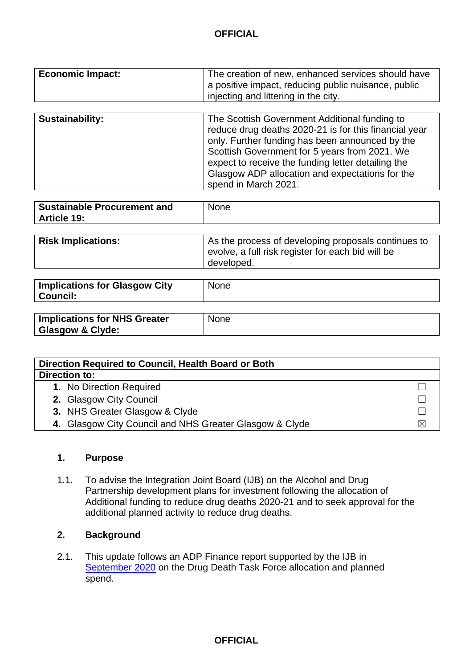| <b>Economic Impact:</b> | The creation of new, enhanced services should have<br>a positive impact, reducing public nuisance, public<br>injecting and littering in the city.                                                                                                                                                                   |
|-------------------------|---------------------------------------------------------------------------------------------------------------------------------------------------------------------------------------------------------------------------------------------------------------------------------------------------------------------|
|                         |                                                                                                                                                                                                                                                                                                                     |
| Sustainability:         | The Scottish Government Additional funding to<br>reduce drug deaths 2020-21 is for this financial year<br>only. Further funding has been announced by the<br>Scottish Government for 5 years from 2021. We<br>expect to receive the funding letter detailing the<br>Glasgow ADP allocation and expectations for the |

| Sustainable Procurement and | <b>None</b> |
|-----------------------------|-------------|
| Article 19:                 |             |
|                             |             |

spend in March 2021.

| evolve, a full risk register for each bid will be<br>developed. | <b>Risk Implications:</b> | As the process of developing proposals continues to |
|-----------------------------------------------------------------|---------------------------|-----------------------------------------------------|
|-----------------------------------------------------------------|---------------------------|-----------------------------------------------------|

| <b>Implications for Glasgow City</b><br><b>Council:</b>            | <b>None</b> |
|--------------------------------------------------------------------|-------------|
| <b>Implications for NHS Greater</b><br><b>Glasgow &amp; Clyde:</b> | <b>None</b> |

| Direction Required to Council, Health Board or Both     |  |  |  |
|---------------------------------------------------------|--|--|--|
| Direction to:                                           |  |  |  |
| 1. No Direction Required                                |  |  |  |
| 2. Glasgow City Council                                 |  |  |  |
| 3. NHS Greater Glasgow & Clyde                          |  |  |  |
| 4. Glasgow City Council and NHS Greater Glasgow & Clyde |  |  |  |

#### **1. Purpose**

1.1. To advise the Integration Joint Board (IJB) on the Alcohol and Drug Partnership development plans for investment following the allocation of Additional funding to reduce drug deaths 2020-21 and to seek approval for the additional planned activity to reduce drug deaths.

### **2. Background**

2.1. This update follows an ADP Finance report supported by the IJB in [September 2020](https://glasgowcity.hscp.scot/sites/default/files/publications/ITEM%20No%2008%20-%20Alcohol%20and%20Drug%20Partnership%20Investment%20Plan%20Update_0.pdf) on the Drug Death Task Force allocation and planned spend.

**OFFICIAL**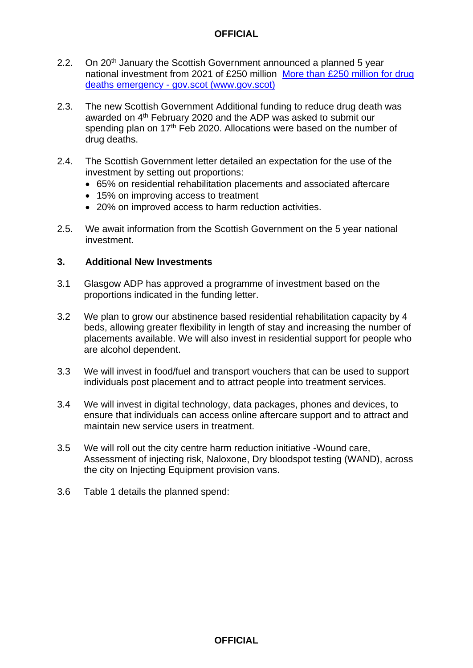- 2.2. On 20<sup>th</sup> January the Scottish Government announced a planned 5 year national investment from 2021 of £250 million [More than £250 million for drug](https://www.gov.scot/news/more-than-gbp-250-million-for-drug-deaths-emergency/)  deaths emergency - [gov.scot \(www.gov.scot\)](https://www.gov.scot/news/more-than-gbp-250-million-for-drug-deaths-emergency/)
- 2.3. The new Scottish Government Additional funding to reduce drug death was awarded on 4<sup>th</sup> February 2020 and the ADP was asked to submit our spending plan on 17<sup>th</sup> Feb 2020. Allocations were based on the number of drug deaths.
- 2.4. The Scottish Government letter detailed an expectation for the use of the investment by setting out proportions:
	- 65% on residential rehabilitation placements and associated aftercare
	- 15% on improving access to treatment
	- 20% on improved access to harm reduction activities.
- 2.5. We await information from the Scottish Government on the 5 year national investment.

#### **3. Additional New Investments**

- 3.1 Glasgow ADP has approved a programme of investment based on the proportions indicated in the funding letter.
- 3.2 We plan to grow our abstinence based residential rehabilitation capacity by 4 beds, allowing greater flexibility in length of stay and increasing the number of placements available. We will also invest in residential support for people who are alcohol dependent.
- 3.3 We will invest in food/fuel and transport vouchers that can be used to support individuals post placement and to attract people into treatment services.
- 3.4 We will invest in digital technology, data packages, phones and devices, to ensure that individuals can access online aftercare support and to attract and maintain new service users in treatment.
- 3.5 We will roll out the city centre harm reduction initiative -Wound care, Assessment of injecting risk, Naloxone, Dry bloodspot testing (WAND), across the city on Injecting Equipment provision vans.
- 3.6 Table 1 details the planned spend: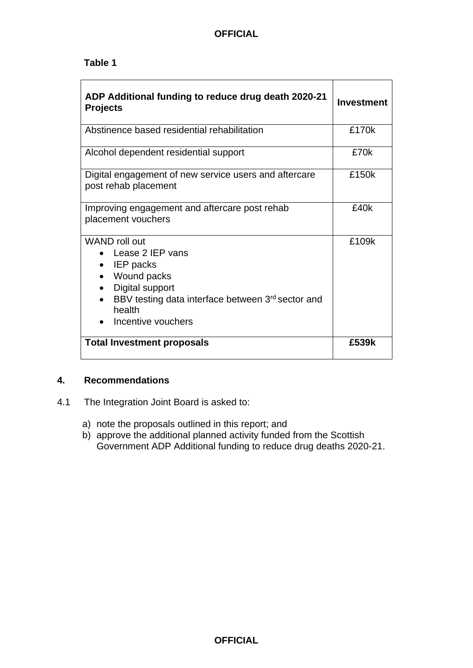#### **Table 1**

| ADP Additional funding to reduce drug death 2020-21<br><b>Projects</b>                                                                                                             | Investment |
|------------------------------------------------------------------------------------------------------------------------------------------------------------------------------------|------------|
| Abstinence based residential rehabilitation                                                                                                                                        | £170k      |
| Alcohol dependent residential support                                                                                                                                              | £70k       |
| Digital engagement of new service users and aftercare<br>post rehab placement                                                                                                      | £150k      |
| Improving engagement and aftercare post rehab<br>placement vouchers                                                                                                                | £40k       |
| WAND roll out<br>Lease 2 IEP vans<br>IEP packs<br>$\bullet$<br>Wound packs<br>Digital support<br>BBV testing data interface between 3rd sector and<br>health<br>Incentive vouchers | £109k      |
| <b>Total Investment proposals</b>                                                                                                                                                  | £539k      |

#### **4. Recommendations**

- 4.1 The Integration Joint Board is asked to:
	- a) note the proposals outlined in this report; and
	- b) approve the additional planned activity funded from the Scottish Government ADP Additional funding to reduce drug deaths 2020-21.